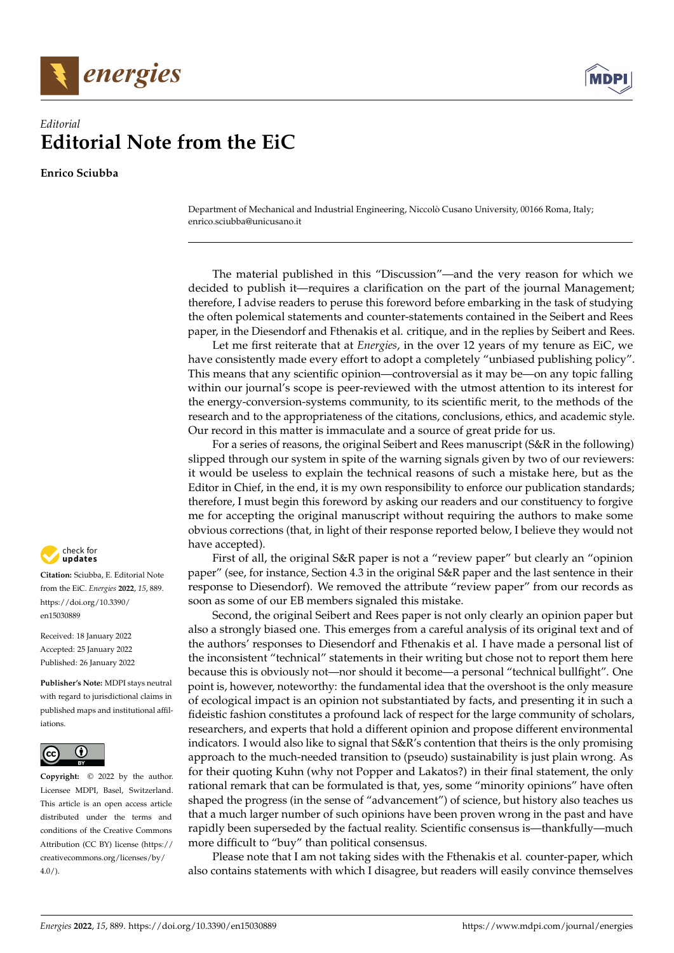



## *Editorial* **Editorial Note from the EiC**

**Enrico Sciubba**

Department of Mechanical and Industrial Engineering, Niccolò Cusano University, 00166 Roma, Italy; enrico.sciubba@unicusano.it

The material published in this "Discussion"—and the very reason for which we decided to publish it—requires a clarification on the part of the journal Management; therefore, I advise readers to peruse this foreword before embarking in the task of studying the often polemical statements and counter-statements contained in the Seibert and Rees paper, in the Diesendorf and Fthenakis et al. critique, and in the replies by Seibert and Rees.

Let me first reiterate that at *Energies*, in the over 12 years of my tenure as EiC, we have consistently made every effort to adopt a completely "unbiased publishing policy". This means that any scientific opinion—controversial as it may be—on any topic falling within our journal's scope is peer-reviewed with the utmost attention to its interest for the energy-conversion-systems community, to its scientific merit, to the methods of the research and to the appropriateness of the citations, conclusions, ethics, and academic style. Our record in this matter is immaculate and a source of great pride for us.

For a series of reasons, the original Seibert and Rees manuscript (S&R in the following) slipped through our system in spite of the warning signals given by two of our reviewers: it would be useless to explain the technical reasons of such a mistake here, but as the Editor in Chief, in the end, it is my own responsibility to enforce our publication standards; therefore, I must begin this foreword by asking our readers and our constituency to forgive me for accepting the original manuscript without requiring the authors to make some obvious corrections (that, in light of their response reported below, I believe they would not have accepted).

First of all, the original S&R paper is not a "review paper" but clearly an "opinion paper" (see, for instance, Section 4.3 in the original S&R paper and the last sentence in their response to Diesendorf). We removed the attribute "review paper" from our records as soon as some of our EB members signaled this mistake.

Second, the original Seibert and Rees paper is not only clearly an opinion paper but also a strongly biased one. This emerges from a careful analysis of its original text and of the authors' responses to Diesendorf and Fthenakis et al. I have made a personal list of the inconsistent "technical" statements in their writing but chose not to report them here because this is obviously not—nor should it become—a personal "technical bullfight". One point is, however, noteworthy: the fundamental idea that the overshoot is the only measure of ecological impact is an opinion not substantiated by facts, and presenting it in such a fideistic fashion constitutes a profound lack of respect for the large community of scholars, researchers, and experts that hold a different opinion and propose different environmental indicators. I would also like to signal that S&R's contention that theirs is the only promising approach to the much-needed transition to (pseudo) sustainability is just plain wrong. As for their quoting Kuhn (why not Popper and Lakatos?) in their final statement, the only rational remark that can be formulated is that, yes, some "minority opinions" have often shaped the progress (in the sense of "advancement") of science, but history also teaches us that a much larger number of such opinions have been proven wrong in the past and have rapidly been superseded by the factual reality. Scientific consensus is—thankfully—much more difficult to "buy" than political consensus.

Please note that I am not taking sides with the Fthenakis et al. counter-paper, which also contains statements with which I disagree, but readers will easily convince themselves



**Citation:** Sciubba, E. Editorial Note from the EiC. *Energies* **2022**, *15*, 889. [https://doi.org/10.3390/](https://doi.org/10.3390/en15030889) [en15030889](https://doi.org/10.3390/en15030889)

Received: 18 January 2022 Accepted: 25 January 2022 Published: 26 January 2022

**Publisher's Note:** MDPI stays neutral with regard to jurisdictional claims in published maps and institutional affiliations.



**Copyright:** © 2022 by the author. Licensee MDPI, Basel, Switzerland. This article is an open access article distributed under the terms and conditions of the Creative Commons Attribution (CC BY) license [\(https://](https://creativecommons.org/licenses/by/4.0/) [creativecommons.org/licenses/by/](https://creativecommons.org/licenses/by/4.0/)  $4.0/$ ).